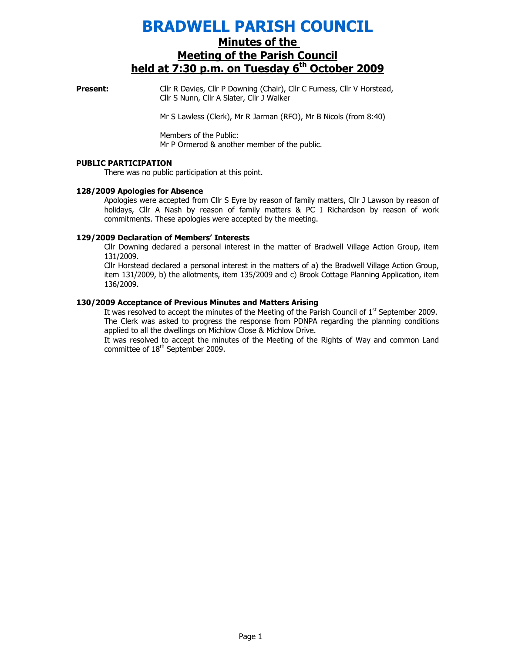# BRADWELL PARISH COUNCIL

## Minutes of the Meeting of the Parish Council held at  $7:30$  p.m. on Tuesday  $6<sup>th</sup>$  October 2009

**Present:** Cllr R Davies, Cllr P Downing (Chair), Cllr C Furness, Cllr V Horstead, Cllr S Nunn, Cllr A Slater, Cllr J Walker

Mr S Lawless (Clerk), Mr R Jarman (RFO), Mr B Nicols (from 8:40)

Members of the Public: Mr P Ormerod & another member of the public.

#### PUBLIC PARTICIPATION

There was no public participation at this point.

#### 128/2009 Apologies for Absence

Apologies were accepted from Cllr S Eyre by reason of family matters, Cllr J Lawson by reason of holidays, Cllr A Nash by reason of family matters & PC I Richardson by reason of work commitments. These apologies were accepted by the meeting.

#### 129/2009 Declaration of Members' Interests

Cllr Downing declared a personal interest in the matter of Bradwell Village Action Group, item 131/2009.

Cllr Horstead declared a personal interest in the matters of a) the Bradwell Village Action Group, item 131/2009, b) the allotments, item 135/2009 and c) Brook Cottage Planning Application, item 136/2009.

#### 130/2009 Acceptance of Previous Minutes and Matters Arising

It was resolved to accept the minutes of the Meeting of the Parish Council of  $1<sup>st</sup>$  September 2009. The Clerk was asked to progress the response from PDNPA regarding the planning conditions applied to all the dwellings on Michlow Close & Michlow Drive.

It was resolved to accept the minutes of the Meeting of the Rights of Way and common Land committee of 18<sup>th</sup> September 2009.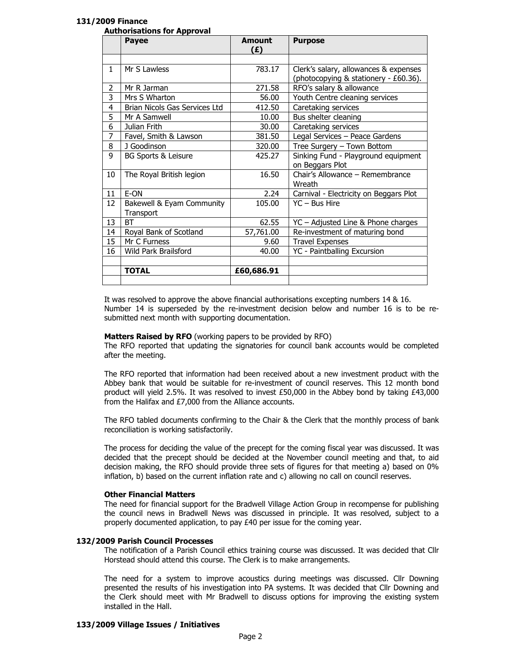#### 131/2009 Finance

| <b>Authorisations for Approval</b> |
|------------------------------------|
|------------------------------------|

|    | <b>Payee</b>                  | <b>Amount</b><br>(£) | <b>Purpose</b>                         |
|----|-------------------------------|----------------------|----------------------------------------|
|    |                               |                      |                                        |
| 1  | Mr S Lawless                  | 783.17               | Clerk's salary, allowances & expenses  |
|    |                               |                      | (photocopying & stationery - £60.36).  |
| 2  | Mr R Jarman                   | 271.58               | RFO's salary & allowance               |
| 3  | Mrs S Wharton                 | 56.00                | Youth Centre cleaning services         |
| 4  | Brian Nicols Gas Services Ltd | 412.50               | Caretaking services                    |
| 5  | Mr A Samwell                  | 10.00                | Bus shelter cleaning                   |
| 6  | Julian Frith                  | 30.00                | Caretaking services                    |
| 7  | Favel, Smith & Lawson         | 381.50               | Legal Services - Peace Gardens         |
| 8  | J Goodinson                   | 320.00               | Tree Surgery - Town Bottom             |
| 9  | BG Sports & Leisure           | 425.27               | Sinking Fund - Playground equipment    |
|    |                               |                      | on Beggars Plot                        |
| 10 | The Royal British legion      | 16.50                | Chair's Allowance - Remembrance        |
|    |                               |                      | Wreath                                 |
| 11 | E-ON                          | 2.24                 | Carnival - Electricity on Beggars Plot |
| 12 | Bakewell & Eyam Community     | 105.00               | YC - Bus Hire                          |
|    | Transport                     |                      |                                        |
| 13 | <b>BT</b>                     | 62.55                | YC - Adjusted Line & Phone charges     |
| 14 | Royal Bank of Scotland        | 57,761.00            | Re-investment of maturing bond         |
| 15 | Mr C Furness                  | 9.60                 | <b>Travel Expenses</b>                 |
| 16 | Wild Park Brailsford          | 40.00                | YC - Paintballing Excursion            |
|    |                               |                      |                                        |
|    | <b>TOTAL</b>                  | £60,686.91           |                                        |
|    |                               |                      |                                        |

It was resolved to approve the above financial authorisations excepting numbers 14 & 16. Number 14 is superseded by the re-investment decision below and number 16 is to be resubmitted next month with supporting documentation.

#### Matters Raised by RFO (working papers to be provided by RFO)

The RFO reported that updating the signatories for council bank accounts would be completed after the meeting.

The RFO reported that information had been received about a new investment product with the Abbey bank that would be suitable for re-investment of council reserves. This 12 month bond product will yield 2.5%. It was resolved to invest £50,000 in the Abbey bond by taking £43,000 from the Halifax and £7,000 from the Alliance accounts.

The RFO tabled documents confirming to the Chair & the Clerk that the monthly process of bank reconciliation is working satisfactorily.

The process for deciding the value of the precept for the coming fiscal year was discussed. It was decided that the precept should be decided at the November council meeting and that, to aid decision making, the RFO should provide three sets of figures for that meeting a) based on 0% inflation, b) based on the current inflation rate and c) allowing no call on council reserves.

#### Other Financial Matters

The need for financial support for the Bradwell Village Action Group in recompense for publishing the council news in Bradwell News was discussed in principle. It was resolved, subject to a properly documented application, to pay £40 per issue for the coming year.

#### 132/2009 Parish Council Processes

The notification of a Parish Council ethics training course was discussed. It was decided that Cllr Horstead should attend this course. The Clerk is to make arrangements.

The need for a system to improve acoustics during meetings was discussed. Cllr Downing presented the results of his investigation into PA systems. It was decided that Cllr Downing and the Clerk should meet with Mr Bradwell to discuss options for improving the existing system installed in the Hall.

#### 133/2009 Village Issues / Initiatives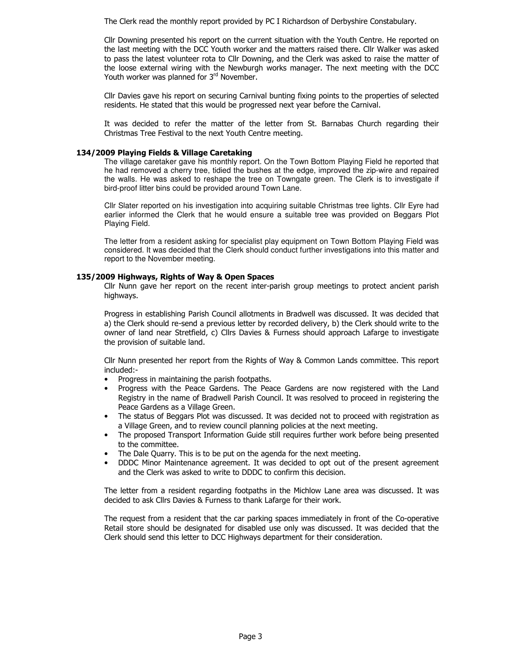The Clerk read the monthly report provided by PC I Richardson of Derbyshire Constabulary.

Cllr Downing presented his report on the current situation with the Youth Centre. He reported on the last meeting with the DCC Youth worker and the matters raised there. Cllr Walker was asked to pass the latest volunteer rota to Cllr Downing, and the Clerk was asked to raise the matter of the loose external wiring with the Newburgh works manager. The next meeting with the DCC Youth worker was planned for 3rd November.

Cllr Davies gave his report on securing Carnival bunting fixing points to the properties of selected residents. He stated that this would be progressed next year before the Carnival.

It was decided to refer the matter of the letter from St. Barnabas Church regarding their Christmas Tree Festival to the next Youth Centre meeting.

#### 134/2009 Playing Fields & Village Caretaking

The village caretaker gave his monthly report. On the Town Bottom Playing Field he reported that he had removed a cherry tree, tidied the bushes at the edge, improved the zip-wire and repaired the walls. He was asked to reshape the tree on Towngate green. The Clerk is to investigate if bird-proof litter bins could be provided around Town Lane.

Cllr Slater reported on his investigation into acquiring suitable Christmas tree lights. Cllr Eyre had earlier informed the Clerk that he would ensure a suitable tree was provided on Beggars Plot Playing Field.

The letter from a resident asking for specialist play equipment on Town Bottom Playing Field was considered. It was decided that the Clerk should conduct further investigations into this matter and report to the November meeting.

#### 135/2009 Highways, Rights of Way & Open Spaces

Cllr Nunn gave her report on the recent inter-parish group meetings to protect ancient parish highways.

Progress in establishing Parish Council allotments in Bradwell was discussed. It was decided that a) the Clerk should re-send a previous letter by recorded delivery, b) the Clerk should write to the owner of land near Stretfield, c) Cllrs Davies & Furness should approach Lafarge to investigate the provision of suitable land.

Cllr Nunn presented her report from the Rights of Way & Common Lands committee. This report included:-

- Progress in maintaining the parish footpaths.
- Progress with the Peace Gardens. The Peace Gardens are now registered with the Land Registry in the name of Bradwell Parish Council. It was resolved to proceed in registering the Peace Gardens as a Village Green.
- The status of Beggars Plot was discussed. It was decided not to proceed with registration as a Village Green, and to review council planning policies at the next meeting.
- The proposed Transport Information Guide still requires further work before being presented to the committee.
- The Dale Quarry. This is to be put on the agenda for the next meeting.
- DDDC Minor Maintenance agreement. It was decided to opt out of the present agreement and the Clerk was asked to write to DDDC to confirm this decision.

The letter from a resident regarding footpaths in the Michlow Lane area was discussed. It was decided to ask Cllrs Davies & Furness to thank Lafarge for their work.

The request from a resident that the car parking spaces immediately in front of the Co-operative Retail store should be designated for disabled use only was discussed. It was decided that the Clerk should send this letter to DCC Highways department for their consideration.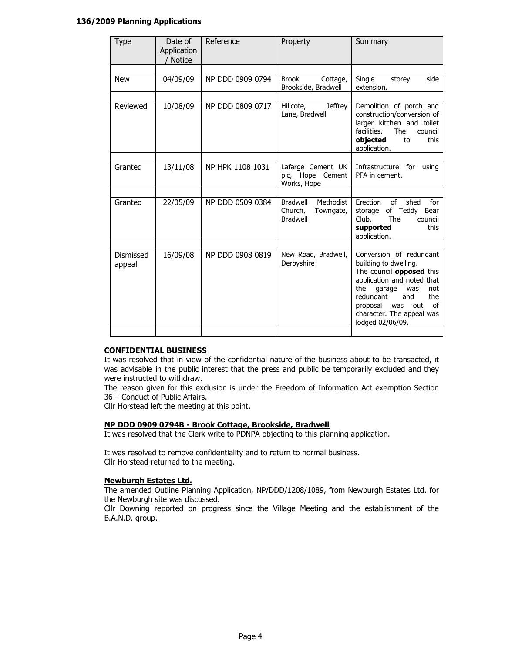#### 136/2009 Planning Applications

| Date of<br>Application<br><b>Notice</b> | Reference        | Property                                                                | Summary                                                                                                                                                                                                                                                      |
|-----------------------------------------|------------------|-------------------------------------------------------------------------|--------------------------------------------------------------------------------------------------------------------------------------------------------------------------------------------------------------------------------------------------------------|
|                                         |                  |                                                                         |                                                                                                                                                                                                                                                              |
| 04/09/09                                | NP DDD 0909 0794 | <b>Brook</b><br>Cottage,<br>Brookside, Bradwell                         | Single<br>side<br>storey<br>extension.                                                                                                                                                                                                                       |
|                                         |                  |                                                                         |                                                                                                                                                                                                                                                              |
| 10/08/09                                | NP DDD 0809 0717 | <b>Jeffrey</b><br>Hillcote,<br>Lane, Bradwell                           | Demolition of porch and<br>construction/conversion of<br>larger kitchen and toilet<br>facilities.<br><b>The</b><br>council<br>objected<br>this<br>to<br>application.                                                                                         |
|                                         |                  |                                                                         |                                                                                                                                                                                                                                                              |
| 13/11/08                                | NP HPK 1108 1031 | Lafarge Cement UK<br>plc, Hope Cement<br>Works, Hope                    | Infrastructure for<br>using<br>PFA in cement.                                                                                                                                                                                                                |
|                                         |                  |                                                                         |                                                                                                                                                                                                                                                              |
| 22/05/09                                | NP DDD 0509 0384 | Methodist<br><b>Bradwell</b><br>Church,<br>Towngate,<br><b>Bradwell</b> | Erection<br>of<br>shed<br>for<br>of Teddy<br>storage<br>Bear<br>The<br>Club.<br>council<br>this<br>supported<br>application.                                                                                                                                 |
|                                         |                  |                                                                         |                                                                                                                                                                                                                                                              |
| 16/09/08                                | NP DDD 0908 0819 | New Road, Bradwell,<br>Derbyshire                                       | Conversion of redundant<br>building to dwelling.<br>The council <b>opposed</b> this<br>application and noted that<br>the<br>garage<br>not<br>was<br>redundant<br>and<br>the<br>of<br>proposal<br>was<br>out<br>character. The appeal was<br>lodged 02/06/09. |
|                                         |                  |                                                                         |                                                                                                                                                                                                                                                              |

#### CONFIDENTIAL BUSINESS

It was resolved that in view of the confidential nature of the business about to be transacted, it was advisable in the public interest that the press and public be temporarily excluded and they were instructed to withdraw.

The reason given for this exclusion is under the Freedom of Information Act exemption Section 36 – Conduct of Public Affairs.

Cllr Horstead left the meeting at this point.

#### NP DDD 0909 0794B - Brook Cottage, Brookside, Bradwell

It was resolved that the Clerk write to PDNPA objecting to this planning application.

It was resolved to remove confidentiality and to return to normal business. Cllr Horstead returned to the meeting.

#### Newburgh Estates Ltd.

The amended Outline Planning Application, NP/DDD/1208/1089, from Newburgh Estates Ltd. for the Newburgh site was discussed.

Cllr Downing reported on progress since the Village Meeting and the establishment of the B.A.N.D. group.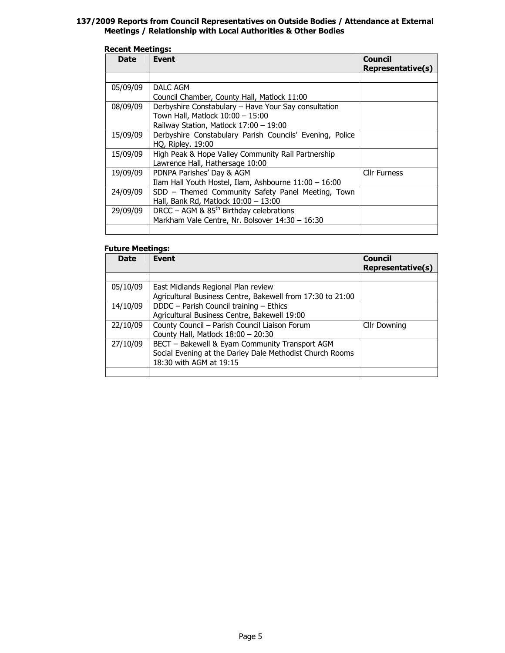#### 137/2009 Reports from Council Representatives on Outside Bodies / Attendance at External Meetings / Relationship with Local Authorities & Other Bodies

#### Recent Meetings:

| <b>Date</b> | <b>Event</b>                                             | <b>Council</b><br><b>Representative(s)</b> |
|-------------|----------------------------------------------------------|--------------------------------------------|
|             |                                                          |                                            |
| 05/09/09    | DALC AGM                                                 |                                            |
|             | Council Chamber, County Hall, Matlock 11:00              |                                            |
| 08/09/09    | Derbyshire Constabulary - Have Your Say consultation     |                                            |
|             | Town Hall, Matlock 10:00 - 15:00                         |                                            |
|             | Railway Station, Matlock 17:00 - 19:00                   |                                            |
| 15/09/09    | Derbyshire Constabulary Parish Councils' Evening, Police |                                            |
|             | <b>HQ, Ripley. 19:00</b>                                 |                                            |
| 15/09/09    | High Peak & Hope Valley Community Rail Partnership       |                                            |
|             | Lawrence Hall, Hathersage 10:00                          |                                            |
| 19/09/09    | PDNPA Parishes' Day & AGM                                | <b>Cllr Furness</b>                        |
|             | Ilam Hall Youth Hostel, Ilam, Ashbourne 11:00 - 16:00    |                                            |
| 24/09/09    | SDD - Themed Community Safety Panel Meeting, Town        |                                            |
|             | Hall, Bank Rd, Matlock 10:00 - 13:00                     |                                            |
| 29/09/09    | DRCC – AGM & $85th$ Birthday celebrations                |                                            |
|             | Markham Vale Centre, Nr. Bolsover 14:30 - 16:30          |                                            |
|             |                                                          |                                            |

#### Future Meetings:

| <b>Date</b> | <b>Event</b>                                                                                                                          | <b>Council</b><br>Representative(s) |
|-------------|---------------------------------------------------------------------------------------------------------------------------------------|-------------------------------------|
|             |                                                                                                                                       |                                     |
| 05/10/09    | East Midlands Regional Plan review<br>Agricultural Business Centre, Bakewell from 17:30 to 21:00                                      |                                     |
| 14/10/09    | DDDC - Parish Council training - Ethics<br>Agricultural Business Centre, Bakewell 19:00                                               |                                     |
| 22/10/09    | County Council - Parish Council Liaison Forum<br>County Hall, Matlock 18:00 - 20:30                                                   | <b>Cllr Downing</b>                 |
| 27/10/09    | BECT - Bakewell & Eyam Community Transport AGM<br>Social Evening at the Darley Dale Methodist Church Rooms<br>18:30 with AGM at 19:15 |                                     |
|             |                                                                                                                                       |                                     |